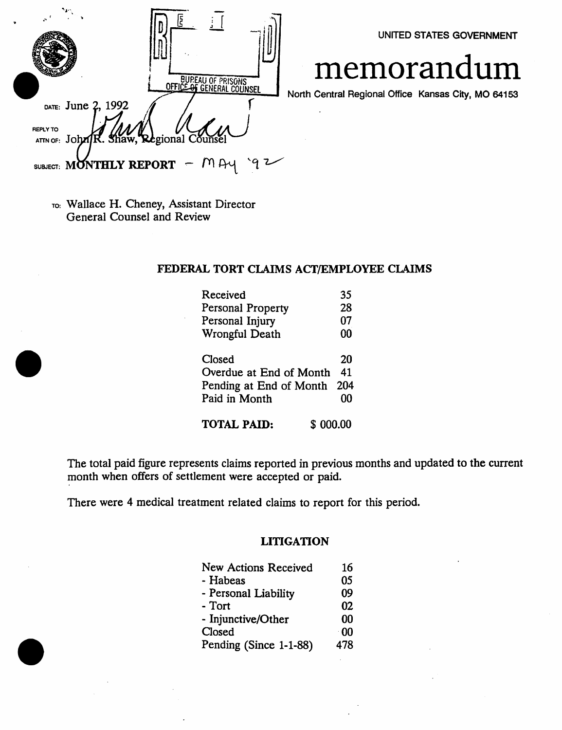|                    | BUREAU OF PRISONS<br>OFFICE OF GENERAL COUNSEL |      |
|--------------------|------------------------------------------------|------|
| DATE: June 2, 1992 |                                                | Nort |
| <b>REPLY TO</b>    | ATTN OF: John R. Shaw, Regional Counsel        |      |
|                    | SUBJECT: MONTHLY REPORT $- M$                  |      |

TO: Wallace H. Cheney, Assistant Director General Counsel and Review

# FEDERAL TORT CLAIMS ACT/EMPLOYEE CLAIMS

| Received                        | 35  |
|---------------------------------|-----|
| Personal Property               | 28  |
| Personal Injury                 | 07  |
| Wrongful Death                  | 00  |
| Closed                          | 20  |
| Overdue at End of Month         | 41  |
| Pending at End of Month         | 204 |
| Paid in Month                   | 00  |
| <b>TOTAL PAID:</b><br>\$ 000.00 |     |

The total paid figure represents claims reported in previous months and updated to the current month when offers of settlement were accepted or paid.

There were 4 medical treatment related claims to report for this period.

# LITIGATION

| <b>New Actions Received</b> | 16         |
|-----------------------------|------------|
| - Habeas                    | 05         |
| - Personal Liability        | 09         |
| - Tort                      | 02         |
| - Injunctive/Other          | 00         |
| Closed                      | $\cdot$ 00 |
| Pending (Since 1-1-88)      | 478        |

UNITED STATES GOVERNMENT

# memorandum

North Central Regional Office Kansas City, MO 64153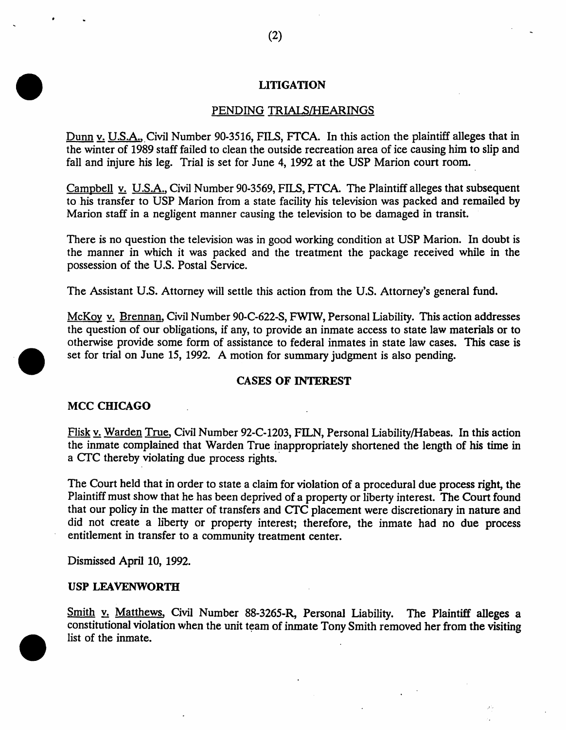# LITIGATION

# PENDING TRIALS/HEARINGS

Dunn v. U.S.A., Civil Number 90-3516, FILS, FTCA. In this action the plaintiff alleges that in the winter of 1989 staff failed to clean the outside recreation area of ice causing him to slip and fall and injure his leg. Trial is set for June 4, 1992 at the USP Marion court room.

Campbell v. U.S.A., Civil Number 90-3569, FILS, FfCA. The Plaintiff alleges that subsequent to his transfer to USP Marion from a state facility his television was packed and remailed by Marion staff in a negligent manner causing the television to be damaged in transit.

There is no question the television was in good working condition at USP Marion. In doubt is the manner in which it was packed and the treatment the package received while in the possession of the U.S. Postal Service.

The Assistant U.S. Attorney will settle this action from the U.S. Attorney's general fund.

McKoy v. Brennan, Civil Number 90-C-622-S, FWIW, Personal Liability. This action addresses the question of our obligations, if any, to provide an inmate access to state law materials or to otherwise provide some form of assistance to federal inmates in state law cases. This case is set for trial on June 15, 1992. A motion for summary judgment is also pending.

#### CASES OF INTEREST

#### MCC CHICAGO

Flisk v. Warden True, Civil Number 92-C-1203, FILN, Personal Liability/Habeas. In this action the inmate complained that Warden True inappropriately shortened the length of his time in a CTC thereby violating due process rights.

The Court held that in order to state a claim for violation of a procedural due process right, the Plaintiff must show that he has been deprived of a property or liberty interest. The Court found that our policy in the matter of transfers and CTC placement were discretionary in nature and did not create a liberty or property interest; therefore, the inmate had no due process entitlement in transfer to a community treatment center.

Dismissed April 10, 1992.

#### USP LEAVENWORTH

Smith y. Matthews, Civil Number 88-3265-R, Personal Liability. The Plaintiff alleges a constitutional violation when the unit team of inmate Tony Smith removed her from the visiting list of the inmate.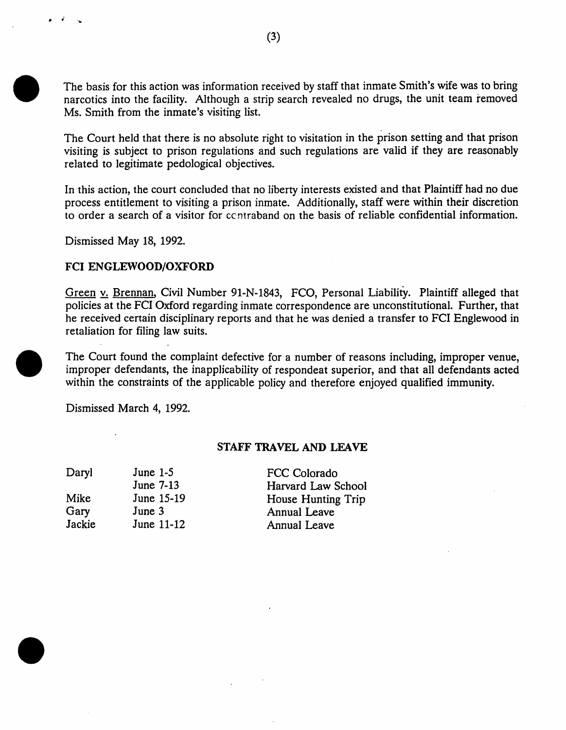The basis for this action was information received by staff that inmate Smith's wife was to bring narcotics into the facility. Although a strip search revealed no drugs, the unit team removed Ms. Smith from the inmate's visiting list.

The Court held that there is no absolute right to visitation in the prison setting and that prison visiting is subject to prison regulations and such regulations are valid if they are reasonably related to legitimate pedological objectives.

In this action, the court concluded that no liberty interests existed and that Plaintiff had no due process entitlement to visiting a prison inmate. Additionally, staff were within their discretion to order a search of a visitor for ccntraband on the basis of reliable confidential information.

Dismissed May 18, 1992.

· .. ' ..

# FCI ENGLEWOOD/OXFORD

Green v. Brennan, Civil Number 91-N-1843, FCO, Personal Liability. Plaintiff alleged that policies at the FCI Oxford regarding inmate correspondence are unconstitutional. Further, that he received certain disciplinary reports and that he was denied a transfer to FCI Englewood in retaliation for filing law suits.

The Court found the complaint defective for a number of reasons including, improper venue, improper defendants, the inapplicability of respondeat superior, and that all defendants acted within the constraints of the applicable policy and therefore enjoyed qualified immunity.

Dismissed March 4, 1992.

#### STAFF TRAVEL AND LEAVE

| Daryl  | June $1-5$ | FCC Colorado        |
|--------|------------|---------------------|
|        | June 7-13  | Harvard Law School  |
| Mike   | June 15-19 | House Hunting Trip  |
| Gary   | June 3     | <b>Annual Leave</b> |
| Jackie | June 11-12 | <b>Annual Leave</b> |
|        |            |                     |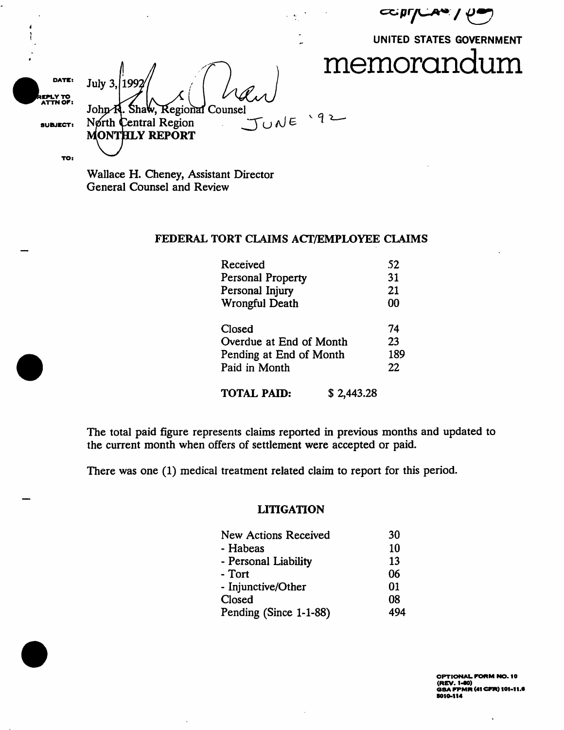$\mathtt{supp}$ 

UNITED STATES GOVERNMENT



DATE: 1992 July 3, .<br>ATTN OF: John R. Shaw, Regional Counsel<br>North Central Region JUNE '92 SUBJECT: **MONTHLY REPORT** TO:

Wallace H. Cheney, Assistant Director General Counsel and Review

#### FEDERAL TORT CLAIMS ACT/EMPLOYEE CLAIMS

| Received                  | 52  |
|---------------------------|-----|
| Personal Property         | 31  |
| Personal Injury           | 21  |
| <b>Wrongful Death</b>     | 00  |
| Closed                    | 74  |
| Overdue at End of Month   | 23  |
| Pending at End of Month   | 189 |
| Paid in Month             | 22  |
| TOTAL PAID:<br>\$2,443.28 |     |

The total paid figure represents claims reported in previous months and updated to the current month when offers of settlement were accepted or paid.

There was one (1) medical treatment related claim to report for this period.

#### **LITIGATION**

| <b>New Actions Received</b> | 30  |
|-----------------------------|-----|
| - Habeas                    | 10  |
| - Personal Liability        | 13  |
| - Tort                      | 06  |
| - Injunctive/Other          | 01  |
| Closed                      | 08  |
| Pending (Since 1-1-88)      | 494 |

OPTIONAL FORM NO. 10 OPTIONAL FORM NO. 19<br>(REV. 1–80)<br>GSA FPMR (41 CFR) 101–11.6 5010-114

 $\hat{\phantom{a}}$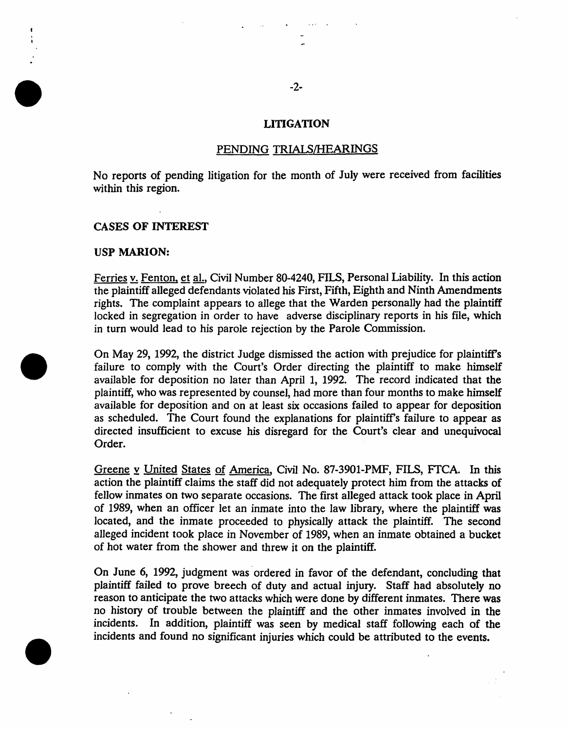## LITIGATION

#### PENDING TRIALS/HEARINGS

No reports of pending litigation for the month of July were received from facilities within this region.

#### CASES OF INTEREST

#### USP MARION:

Ferries v. Fenton, et aI., Civil Number 80-4240, FILS, Personal Liability. In this action the plaintiff alleged defendants violated his First, Fifth, Eighth and Ninth Amendments rights. The complaint appears to allege that the Warden personally had the plaintiff locked in segregation in order to have adverse disciplinary reports in his file, which in tum would lead to his parole rejection by the Parole Commission.

On May 29, 1992, the district Judge dismissed the action with prejudice for plaintiffs failure to comply with the Court's Order directing the plaintiff to make himself available for deposition no later than April 1, 1992. The record indicated that the plaintiff, who was represented by counsel, had more than four months to make himself available for deposition and on at least six occasions failed to appear for deposition as scheduled. The Court found the explanations for plaintiffs failure to appear as directed insufficient to excuse his disregard for the Court's clear and unequivocal Order.

Greene y United States of America, Civil No. 87-3901-PMF, FILS, FfCA. In this action the plaintiff claims the staff did not adequately protect him from the attacks of fellow inmates on two separate occasions. The first alleged attack took place in April of 1989, when an officer let an inmate into the law library, where the plaintiff was located, and the inmate proceeded to physically attack the plaintiff. The second alleged incident took place in November of 1989, when an inmate obtained a bucket of hot water from the shower and threw it on the plaintiff.

On June 6, 1992, judgment was ordered in favor of the defendant, concluding that plaintiff failed to prove breech of duty and actual injury. Staff had absolutely no reason to anticipate the two attacks which were done by different inmates. There was no history of trouble between the plaintiff and the other inmates involved in the incidents. In addition, plaintiff was seen by medical staff following each of the incidents and found no significant injuries which could be attributed to the events.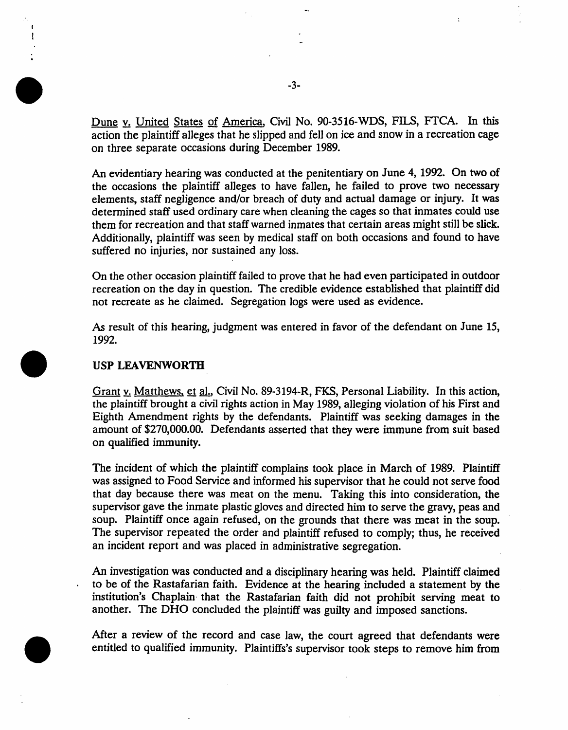Dune v. United States of America, Civil No. 90-3516-WDS, FILS, FTCA. In this action the plaintiff alleges that he slipped and fell on ice and snow in a recreation cage on three separate occasions during December 1989.

An evidentiary hearing was conducted at the penitentiary on June 4, 1992. On two of the occasions the plaintiff alleges to have fallen, he failed to prove two necessary elements, staff negligence and/or breach of duty and actual damage or injury. It was determined staff used ordinary care when cleaning the cages so that inmates could use them for recreation and that staff warned inmates that certain areas might still be slick. Additionally, plaintiff was seen by medical staff on both occasions and found to have suffered no injuries, nor sustained any loss.

On the other occasion plaintiff failed to prove that he had even participated in outdoor recreation on the day in question. The credible evidence established that plaintiff did not recreate as he claimed. Segregation logs were used as evidence.

As result of this hearing, judgment was entered in favor of the defendant on June 15, 1992.

# USP LEAVENWORTH

Grant y. Matthews, et al., Civil No. 89-3194-R, FKS, Personal Liability. In this action, the plaintiff brought a civil rights action in May 1989, alleging violation of his First and Eighth Amendment rights by the defendants. Plaintiff was seeking damages in the amount of \$270,000.00. Defendants asserted that they were immune from suit based on qualified immunity.

The incident of which the plaintiff complains took place in March of 1989. Plaintiff was assigned to Food Service and informed his supervisor that he could not serve food that day because there was meat on the menu. Taking this into consideration, the supervisor gave the inmate plastic gloves and directed him to serve the gravy, peas and soup. Plaintiff once again refused, on the grounds that there was meat in the soup. The supervisor repeated the order and plaintiff refused to comply; thus, he received an incident report and was placed in administrative segregation.

An investigation was conducted and a disciplinary hearing was held. Plaintiff claimed to be of the Rastafarian faith. Evidence at the hearing included a statement by the institution's Chaplain· that the Rastafarian faith did not prohibit serving meat to another. The DHO concluded the plaintiff was guilty and imposed sanctions.

After a review of the record and case law, the court agreed that defendants were entitled to qualified immunity. Plaintiffs's supervisor took steps to remove him from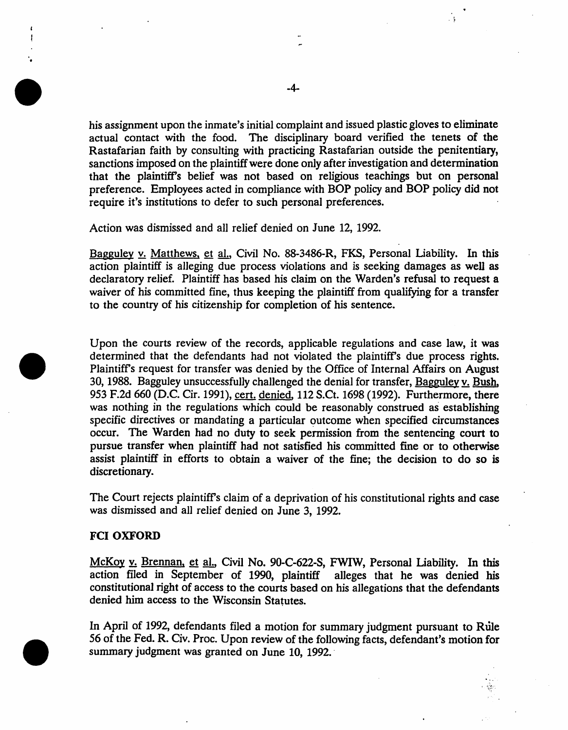his assignment upon the inmate's initial complaint and issued plastic gloves to eliminate actual contact with the food. The disciplinary board verified the tenets of the Rastafarian faith by consulting with practicing Rastafarian outside the penitentiary, sanctions imposed on the plaintiff were done only after investigation and determination that the plaintiff's belief was not based on religious teachings but on personal preference. Employees acted in compliance with BOP policy and BOP policy did not require it's institutions to defer to such personal preferences.

Action was dismissed and all relief denied on June 12, 1992.

Bagguley v. Matthews, et al., Civil No. 88-3486-R, FKS, Personal Liability. In this action plaintiff is alleging due process violations and is seeking damages as well as declaratory relief. Plaintiff has based his claim on the Warden's refusal to request a waiver of his committed fine, thus keeping the plaintiff from qualifying for a transfer to the country of his citizenship for completion of his sentence.

Upon the courts review of the records, applicable regulations and case law, it was determined that the defendants had not violated the plaintiff's due process rights. Plaintiffs request for transfer was denied by the Office of Internal Affairs on August 30, 1988. Bagguley unsuccessfully challenged the denial for transfer, Bagguley v. Bush, 953 F.2d 660 (D.C. Cir. 1991), cert. denied, 112 S.Ct. 1698 (1992). Furthermore, there was nothing in the regulations which could be reasonably construed as establishing specific directives or mandating a particular outcome when specified circumstances occur. The Warden had no duty to seek permission from the sentencing court to pursue transfer when plaintiff had not satisfied his committed fine or to otherwise assist plaintiff in efforts to obtain a waiver of the fine; the decision to do so is discretionary.

The Court rejects plaintiffs claim of a deprivation of his constitutional rights and case was dismissed and all relief denied on June 3, 1992.

# FCI OXFORD

'.

McKoy y. Brennan, et al., Civil No. 90-C-622-S, FWIW, Personal Liability. In this action filed in September of 1990, plaintiff alleges that he was denied his constitutional right of access to the courts based on his allegations that the defendants denied him access to the Wisconsin Statutes.

In April of 1992, defendants filed a motion for summary judgment pursuant to Rule 56 of the Fed. R. Civ. Proc. Upon review of the following facts, defendant's motion for summary judgment was granted on June 10, 1992.'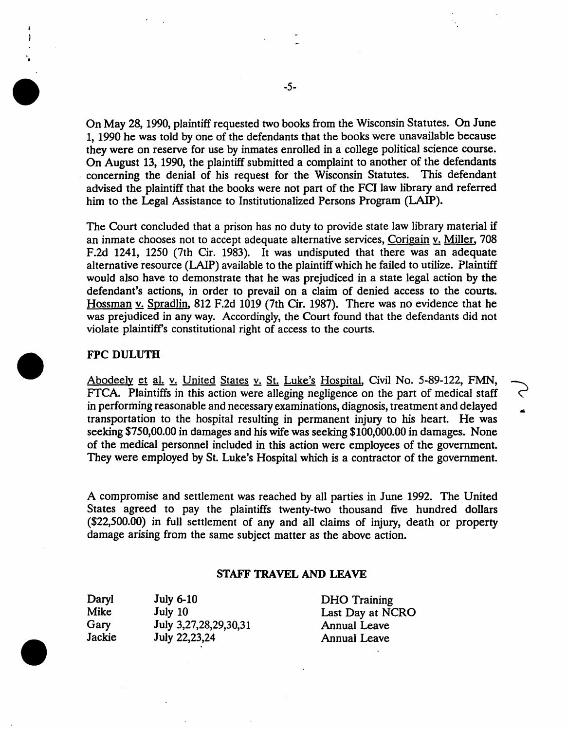On May 28, 1990, plaintiff requested two books from the Wisconsin Statutes. On June 1, 1990 he was told by one of the defendants that the books were unavailable because they were on reserve for use by inmates enrolled in a college political science course. On August 13, 1990, the plaintiff submitted a complaint to another of the defendants . concerning the denial of his request for the Wisconsin Statutes. This defendant advised the plaintiff that the books were not part of the FCI law library and referred him to the Legal Assistance to Institutionalized Persons Program (LAIP).

The Court concluded that a prison has no duty to provide state law library material if an inmate chooses not to accept adequate alternative services, Corigain v. Miller, 708 F.2d 1241, 1250 (7th Cir. 1983). It was undisputed that there was an adequate alternative resource (LAIP) available to the plaintiff which he failed to utilize. Plaintiff would also have to demonstrate that he was prejudiced in a state legal action by the defendant's actions, in order to prevail on a claim of denied access to the courts. Hossman v. Spradlin, 812 F.2d 1019 (7th Cir. 1987). There was no evidence that he was prejudiced in any way. Accordingly, the Court found that the defendants did not violate plaintiffs constitutional right of access to the courts.

# FPC DULUTH

Abodeely et a1. v. United States v. St. Luke's Hospital, Civil No. 5-89-122, FMN, FfCA. Plaintiffs in this action were alleging negligence on the part of medical staff in performing reasonable and necessary examinations, diagnosis, treatment and delayed transportation to the hospital resulting in permanent injury to his heart. He was seeking \$750,00.00 in damages and his wife was seeking \$100,000.00 in damages. None of the medical personnel included in this action were employees of the government. They were employed by St. Luke's Hospital which is a contractor of the government.

A compromise and settlement was reached by all parties in June 1992. The United States agreed to pay the plaintiffs twenty-two thousand five hundred dollars (\$22,500.00) in full settlement of any and all claims of injury, death or property damage arising from the same subject matter as the above action.

#### STAFF TRAVEL AND LEAVE

Daryl Mike Gary Jackie July 6-10 July 10 July 3,27,28,29,30,31 July 22,23,24

DHO Training Last Day at NCRO Annual Leave Annual Leave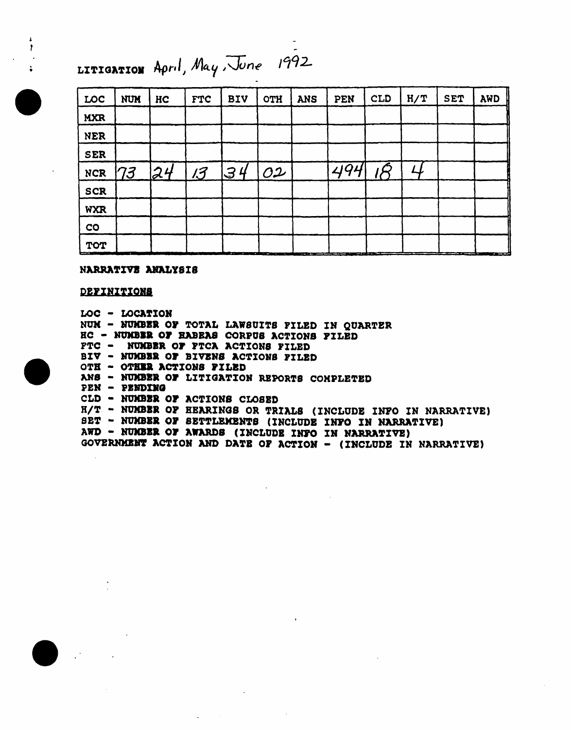# LITIGATION April, May, June 1992

| LOC                                    | <b>NUM</b> | HC | <b>FTC</b> | <b>BIV</b> | <b>OTH</b>                             | <b>ANS</b> | PEN                                                      | <b>CLD</b> | H/T | <b>SET</b>                                   | AWD    |
|----------------------------------------|------------|----|------------|------------|----------------------------------------|------------|----------------------------------------------------------|------------|-----|----------------------------------------------|--------|
| <b>MXR</b>                             |            |    |            |            |                                        |            |                                                          |            |     |                                              |        |
| <b>NER</b>                             |            |    |            |            |                                        |            |                                                          |            |     |                                              |        |
| <b>SER</b>                             |            |    |            |            |                                        |            |                                                          |            |     |                                              |        |
| <b>NCR</b>                             | 173        | z4 | 13         | $ $ 34     | O2                                     |            | 494                                                      |            |     |                                              |        |
| <b>SCR</b>                             |            |    |            |            |                                        |            |                                                          |            |     |                                              |        |
| <b>WXR</b>                             |            |    |            |            |                                        |            |                                                          |            |     |                                              |        |
| CO                                     |            |    |            |            |                                        |            |                                                          |            |     |                                              |        |
| <b>TOT</b><br><b>Contract Contract</b> | $\sim$     |    | استحقا     |            | in a main that an an an an an an an an |            | والتقاربون والمستقل والمستحلة الأنابي والمتراث والمتناوب | --         |     | the control of the control of the control of | $\sim$ |

#### NARRATIVE ANALYSIS

#### DEFINITIONS

LOC - LOCATION NUM - NUMBER OF TOTAL LAWSUITS FILED IN QUARTER HC - NUMBER OF HABEAS CORPUS ACTIONS FILED PTC - NUMBER OF FTCA ACTIONS FILED BIV - NUMBER OF BIVENS ACTIONS FILED OTH - OTHER ACTIONS FILED ANS - NUMBER OF LITIGATION REPORTS CONPLETED PEN - PENDING CLD - NUMBER OF ACTIONS CLOSED H/T - NUMBER OF HEARINGS OR TRIALS (INCLUDE INFO IN NARRATIVE) SET - NUMBER OF SETTLEMENTS (INCLUDE INFO IN NARRATIVE) AWD - NUMBER OF AWARDS (INCLUDE INFO IN NARRATIVE) GOVERNMENT ACTION AND DATE OF ACTION - (INCLUDE IN NARRATIVE)





 $\mathbf{r}$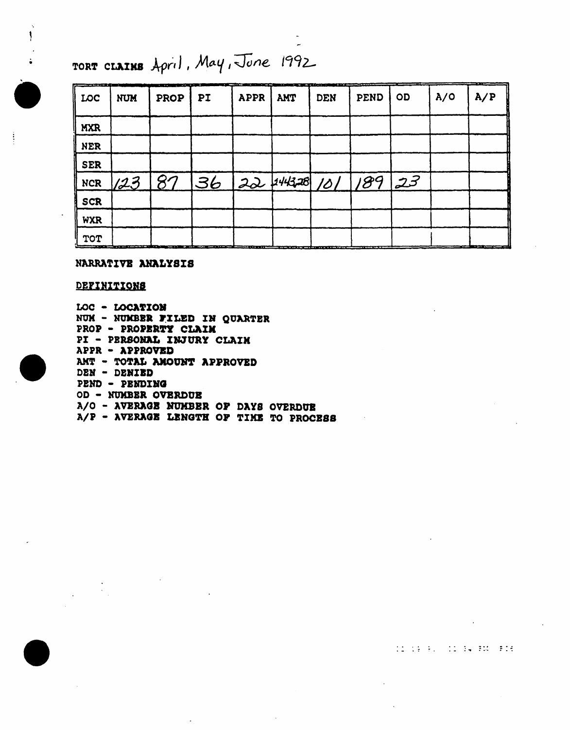TORT CLAINS April, May, June 1992

| فستلا الكاستان والبار<br>LOC | <b>NUM</b> | provided a company of the company<br>PROP | PI                                                                                                                   | the contract and the property of<br><b>APPR</b> | هدمه<br>AMT | <b>DEN</b> | <b>CONTINUES IN THE CONTINUES</b><br><b>PEND</b> | OD | A/O | A/P         |
|------------------------------|------------|-------------------------------------------|----------------------------------------------------------------------------------------------------------------------|-------------------------------------------------|-------------|------------|--------------------------------------------------|----|-----|-------------|
| <b>MXR</b>                   |            |                                           |                                                                                                                      |                                                 |             |            |                                                  |    |     |             |
| <b>NER</b>                   |            |                                           |                                                                                                                      |                                                 |             |            |                                                  |    |     |             |
| <b>SER</b>                   |            |                                           |                                                                                                                      |                                                 |             |            |                                                  |    |     |             |
| <b>NCR</b>                   |            |                                           | 123 87 36 22 44328 101 189 23                                                                                        |                                                 |             |            |                                                  |    |     |             |
| <b>SCR</b>                   |            |                                           |                                                                                                                      |                                                 |             |            |                                                  |    |     |             |
| <b>WXR</b>                   |            |                                           |                                                                                                                      |                                                 |             |            |                                                  |    |     |             |
| <b>TOT</b>                   |            |                                           | <u> Andreas Anna Ann an Chuireachd ann an Chuireachd ann an Chuireachd ann an Chuireachd ann an Chuireachd an Ch</u> |                                                 |             |            |                                                  |    |     | ___________ |

#### NARRATIVE ANALYSIS

#### DEFINITIONS

 $\ddot{}}$ 

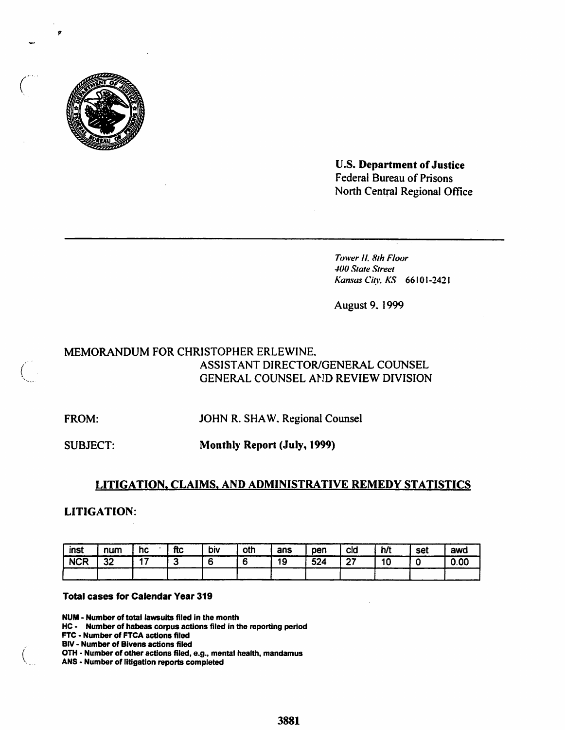

**U.S. Department of Justice Federal Bureau of Prisons** North Central Regional Office

Tower II, 8th Floor 400 State Street Kansas City, KS 66101-2421

August 9, 1999

# MEMORANDUM FOR CHRISTOPHER ERLEWINE. ASSISTANT DIRECTOR/GENERAL COUNSEL GENERAL COUNSEL AND REVIEW DIVISION

FROM:

JOHN R. SHAW, Regional Counsel

**SUBJECT:** 

**Monthly Report (July, 1999)** 

# LITIGATION, CLAIMS, AND ADMINISTRATIVE REMEDY STATISTICS

**LITIGATION:** 

| inst       | num | hc  | ftc | biv | oth | ans | pen | cid           | h/t | set | awd  |
|------------|-----|-----|-----|-----|-----|-----|-----|---------------|-----|-----|------|
| <b>NCR</b> | 32  | . . |     |     |     | 19  | 524 | $\sim$<br>. . | 10  |     | 0.00 |
|            |     |     |     |     |     |     |     |               |     |     |      |

#### **Total cases for Calendar Year 319**

NUM - Number of total lawsuits filed in the month

HC - Number of habeas corpus actions filed in the reporting period

FTC - Number of FTCA actions filed

**BIV - Number of Bivens actions filed** 

OTH - Number of other actions filed, e.g., mental health, mandamus

ANS - Number of litigation reports completed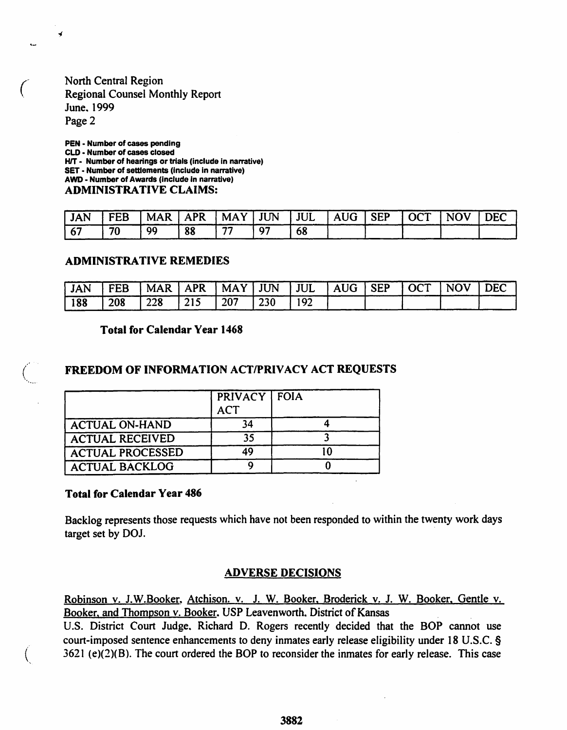# North Central Region Regional Counsel Monthly Report June, 1999 Page 2

¥

PEN - Number of cases pending CLD - Number of cases closed H/T - Number of hearings or trials (include in narrative) SET • Number of settlements (Include in narrative) AWD - Number of Awards (include in narrative) ADMINISTRATIVE CLAIMS:

| <b>JAN</b> | I FEB | MAR   APR   MAY   JUN   JUL   AUG   SEP   OCT |    |    |    |  | <b>NOV</b> | DEC |
|------------|-------|-----------------------------------------------|----|----|----|--|------------|-----|
| 167        | 70    | 99                                            | 88 | -- | 68 |  |            |     |

#### ADMINISTRATIVE REMEDIES

| <b>JAN</b> | FEB | MAR   APR   MAY   JUN   JUL   AUG   SEP |     |     |     |     |  | $\overline{OCT}$ | I NOV | DEC |
|------------|-----|-----------------------------------------|-----|-----|-----|-----|--|------------------|-------|-----|
| 188        | 208 | $\frac{228}{}$                          | 215 | 207 | 230 | 192 |  |                  |       |     |

#### Total for Calendar Year 1468

# FREEDOM OF INFORMATION ACT/PRIVACY ACT REQUESTS

|                         | PRIVACY FOIA<br><b>ACT</b> |    |
|-------------------------|----------------------------|----|
| <b>ACTUAL ON-HAND</b>   | 34                         |    |
| <b>ACTUAL RECEIVED</b>  | 35                         |    |
| <b>ACTUAL PROCESSED</b> | 49                         | ۱٥ |
| <b>ACTUAL BACKLOG</b>   |                            |    |

#### Total for Calendar Year 486

 $\left(\right)$ 

Backlog represents those requests which have not been responded to within the twenty work days target set by DOJ.

#### ADVERSE DECISIONS

Robinson v. J.W.Booker, Atchison. v. J. W. Booker, Broderick v. J. W. Booker, Gentle v. Booker, and Thompson v. Booker. USP Leavenworth. District of Kansas

U.S. District Court Judge, Richard D. Rogers recently decided that the BOP cannot use court-imposed sentence enhancements to deny inmates early release eligibility under 18 U.S.C. § 3621 (e)(2)(B). The court ordered the BOP to reconsider the inmates for early release. This case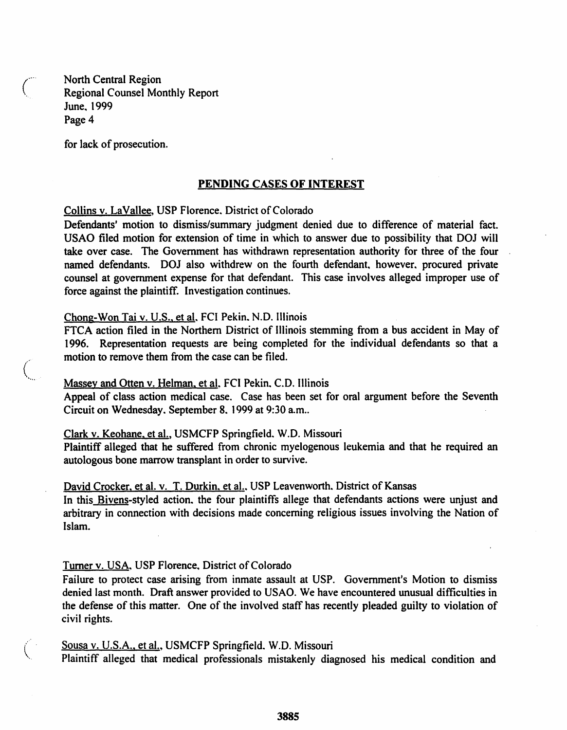North Central Region<br>Regional Counsel Monthly Report June, 1999 Page 4

for lack of prosecution.

#### PENDING CASES OF INTEREST

Collins v. LaVallee, USP Florence. District of Colorado

Defendants' motion to dismiss/summary judgment denied due to difference of material fact. USAO filed motion for extension of time in which to answer due to possibility that DOJ will take over case. The Government has withdrawn representation authority for three of the four named defendants. DOJ also withdrew on the fourth defendant, however, procured private counsel at government expense for that defendant. This case involves alleged improper use of force against the plaintiff. Investigation continues.

#### Chong-Won Tai v. U.S., et al. FCI Pekin. N.D. Illinois

FTCA action filed in the Northern District of Illinois stemming from a bus accident in May of 1996. Representation requests are being completed for the individual defendants so that a motion to remove them from the case can be filed.

#### Massey and Otten v. Helman, et al. FCI Pekin, C.D. Illinois

Appeal of class action medical case. Case has been set for oral argument before the Seventh Circuit on Wednesday. September 8, 1999 at 9:30 a.m..

#### Clark v. Keohane, et aI., USMCFP Springfield. W.O. Missouri

Plaintiff alleged that he suffered from chronic myelogenous leukemia and that he required an autologous bone marrow transplant in order to survive.

#### David Crocker, et al. v. T. Durkin, et al., USP Leavenworth. District of Kansas

In this Bivens-styled action, the four plaintiffs allege that defendants actions were unjust and arbitrary in connection with decisions made concerning religious issues involving the Nation of Islam.

#### Turner v. USA, USP Florence, District of Colorado

Failure to protect case arising from inmate assault at USP. Government's Motion to dismiss denied last month. Draft answer provided to USAO. We have encountered unusual difficulties in the defense of this matter. One of the involved staff has recently pleaded guilty to violation of civil rights.

#### Sousa v. U.S.A., et al., USMCFP Springfield. W.D. Missouri

Plaintiff alleged that medical professionals mistakenly diagnosed his medical condition and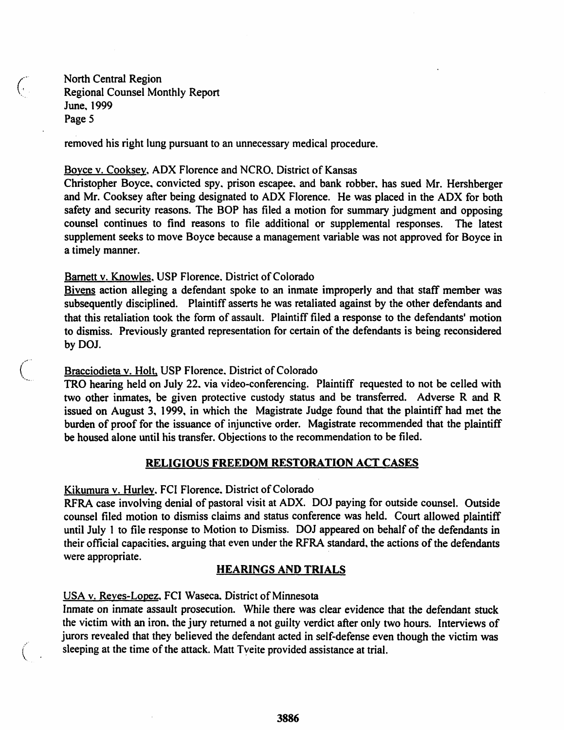North Central Region Regional Counsel Monthly Report June, 1999 Page 5

removed his right lung pursuant to an unnecessary medical procedure.

#### Boyce v. Cooksey, ADX Florence and NCRO. District of Kansas

Christopher Boyce, convicted spy. prison escapee. and bank robber, has sued Mr. Hershberger and Mr. Cooksey after being designated to ADX Florence. He was placed in the ADX for both safety and security reasons. The BOP has filed a motion for summary judgment and opposing counsel continues to find reasons to file additional or supplemental responses. The latest supplement seeks to move Boyce because a management variable was not approved for Boyce in a timely manner.

# Barnett v. Knowles, USP Florence. District of Colorado

Bivens action alleging a defendant spoke to an inmate improperly and that staff member was subsequently disciplined. Plaintiff asserts he was retaliated against by the other defendants and that this retaliation took the form of assault. Plaintiff filed a response to the defendants' motion to dismiss. Previously granted representation for certain of the defendants is being reconsidered by DOJ.

#### Bracciodieta v. Holt. USP Florence. District of Colorado

TRO hearing held on July 22. via video-conferencing. Plaintiff requested to not be celled with two other inmates, be given protective custody status and be transferred. Adverse R and R issued on August 3, 1999, in which the Magistrate Judge found that the plaintiff had met the burden of proof for the issuance of injunctive order. Magistrate recommended that the plaintiff be housed alone until his transfer. Objections to the recommendation to be filed.

# RELIGIOUS FREEDOM RESTORATION ACT CASES

Kikumura v. Hurley. FCI Florence. District of Colorado

RFRA case involving denial of pastoral visit at AOX. OOJ paying for outside counsel. Outside counsel filed motion to dismiss claims and status conference was held. Court allowed plaintiff until July 1 to file response to Motion to Dismiss. DOJ appeared on behalf of the defendants in their official capacities, arguing that even under the RFRA standard, the actions of the defendants were appropriate.

# HEARINGS AND TRIALS

# USA v. Reyes-Lopez, FCI Waseca. District of Minnesota

 $\binom{r}{r}$ 

(.,

Inmate on inmate assault prosecution. While there was clear evidence that the defendant stuck the victim with an iron. the jury returned a not guilty verdict after only two hours. Interviews of jurors revealed that they believed the defendant acted in self-defense even though the victim was sleeping at the time of the attack. Matt Tyeite provided assistance at trial.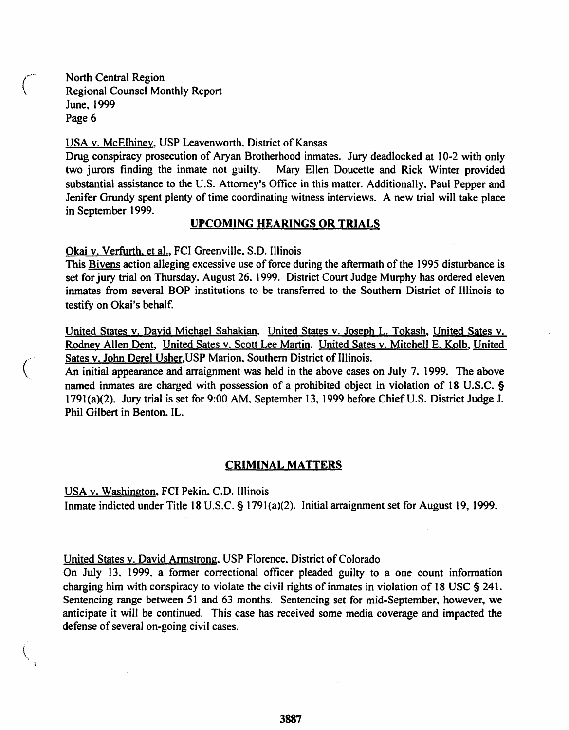North Central Region \ Regional Counsel Monthly Report June, 1999 Page 6

 $\mathcal{C}^{\mathbb{R}}$ 

 $\left($ ...

USA v. McElhiney, USP Leavenworth. District of Kansas

Drug conspiracy prosecution of Aryan Brotherhood inmates. Jury deadlocked at 10-2 with only two jurors finding the inmate not guilty. Mary Ellen Doucette and Rick Winter provided Mary Ellen Doucette and Rick Winter provided substantial assistance to the U.S. Attorney's Office in this matter. Additionally, Paul Pepper and Jenifer Grundy spent plenty of time coordinating witness interviews. A new trial will take place in September 1999.

#### UPCOMING HEARINGS OR TRIALS

Okai v. Verfurth, et ai., FCI Greenville, S.D. Illinois

This Bivens action alleging excessive use of force during the aftermath of the 1995 disturbance is set for jury trial on Thursday. August 26. 1999. District Court Judge Murphy has ordered eleven inmates from several BOP institutions to be transferred to the Southern District of Illinois to testify on Okai's behalf.

United States v. David Michael Sahakian. United States v. Joseph L. Tokash, United Sates v. Rodney Allen Dent, United Sates v. Scott Lee Martin, United Sates v. Mitchell E. Kolb, United Sates v. John Derel Usher, USP Marion. Southern District of Illinois.

An initial appearance and arraignment was held in the above cases on July 7, 1999. The above named inmates are charged with possession of a prohibited object in violation of 18 U.S.C. § 1791(a)(2). Jury trial is set for 9:00 AM. September 13, 1999 before Chief U.S. District Judge J. Phil Gilbert in Benton, IL.

#### CRIMINAL MATTERS

USA v. Washington, FCI Pekin, C.D. Illinois Inmate indicted under Title 18 U.S.C. § 1791(a)(2). Initial arraignment set for August 19, 1999.

United States v. David Armstrong, USP Florence, District of Colorado

On July 13. 1999. a former correctional officer pleaded guilty to a one count information charging him with conspiracy to violate the civil rights of inmates in violation of 18 USC § 241. Sentencing range between 51 and 63 months. Sentencing set for mid-September, however, we anticipate it will be continued. This case has received some media coverage and impacted the defense of several on-going civil cases.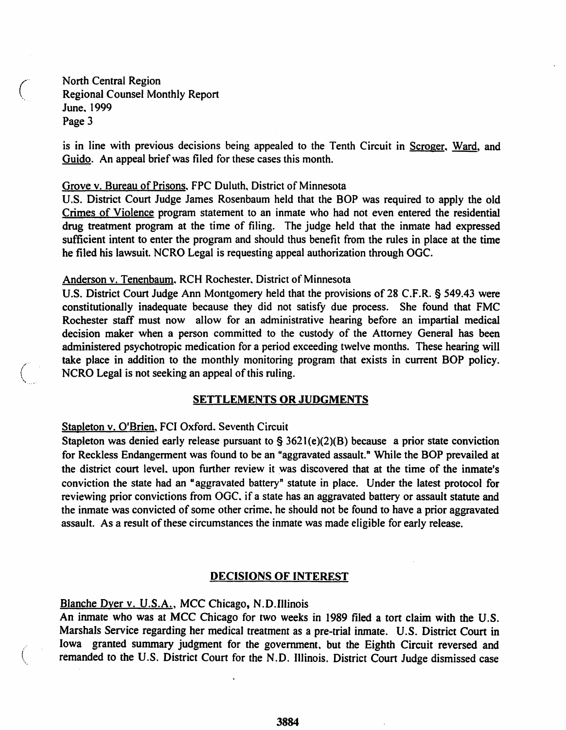North Central Region Regional Counsel Monthly Report June, 1999 Page 3

is in line with previous decisions being appealed to the Tenth Circuit in Scroger, Ward, and Guido. An appeal brief was filed for these cases this month.

#### Grove v. Bureau of Prisons, FPC Duluth, District of Minnesota

U.S. District Court Judge James Rosenbaum held that the BOP was required to apply the old Crimes of Violence program statement to an inmate who had not even entered the residential drug treatment program at the time of filing. The judge held that the inmate had expressed sufficient intent to enter the program and should thus benefit from the rules in place at the time he filed his lawsuit. NCRO Legal is requesting appeal authorization through OGC.

# Anderson v. Tenenbaum. RCH Rochester. District of Minnesota

U.S. District Court Judge Ann Montgomery held that the provisions of 28 C.F.R. § 549.43 were constitutionally inadequate because they did not satisfy due process. She found that FMC Rochester staff must now allow for an administrative hearing before an impartial medical decision maker when a person committed to the custody of the Attorney General has been administered psychotropic medication for a period exceeding twelve months. These hearing will take place in addition to the monthly monitoring program that exists in current BOP policy. NCRO Legal is not seeking an appeal of this ruling.

# SETTLEMENTS OR JUDGMENTS

# Stapleton v. O'Brien, FCI Oxford. Seventh Circuit

Stapleton was denied early release pursuant to  $\S 3621(e)(2)(B)$  because a prior state conviction for Reckless Endangerment was found to be an "aggravated assault." While the BOP prevailed at the district court level, upon further review it was discovered that at the time of the inmate's conviction the state had an "aggravated battery" statute in place. Under the latest protocol for reviewing prior convictions from OGC. if a state has an aggravated battery or assault statute and the inmate was convicted of some other crime. he should not be found to have a prior aggravated assault. As a result of these circumstances the inmate was made eligible for early release.

#### DECISIONS OF INTEREST

Blanche Dyer v. U.S.A., MCC Chicago, N.D.lllinois

 $\binom{1}{2}$ \. An inmate who was at MCC Chicago for two weeks in 1989 filed a tort claim with the U.S. Marshals Service regarding her medical treatment as a pre-trial inmate. U.S. District Court in Iowa granted summary judgment for the government, but the Eighth Circuit reversed and remanded to the U.S. District Court for the N.D. Illinois. District Court Judge dismissed case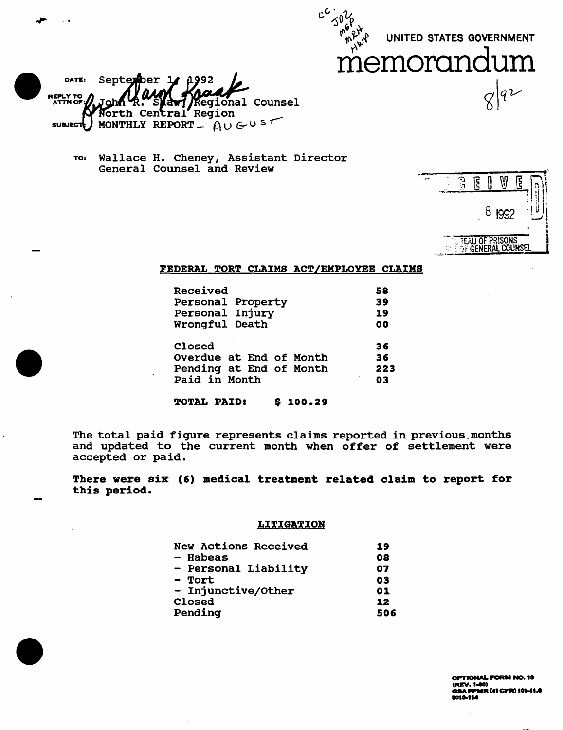UNITED STATES GOVERNMENT



DATE: Septer - 1 **REPLY TO**<br>ATTN OF: Regional Counsel a<del>v</del> North Central Region MONTHLY REPORT -  $A \cup G \cup S$  $s$ UBJECT $\frac{1}{s}$ 

TO: Wallace H. Cheney, Assistant Director General Counsel and Review

|  | ट्ट |   |              | ट्ट |    |  |
|--|-----|---|--------------|-----|----|--|
|  |     | 8 | 1992         |     | ł, |  |
|  |     | n | <b>ISONS</b> |     |    |  |

#### FEDERAL TORT CLAIMS ACT/EMPLOYEE CLAIMS

 $c^{\mathcal{C}}$  $\triangleleft 0$ 

| Received                | 58             |
|-------------------------|----------------|
| Personal Property       | 39             |
| Personal Injury         | 19             |
| Wrongful Death          | 0 <sub>0</sub> |
| Closed                  | 36             |
| Overdue at End of Month | 36             |
| Pending at End of Month | 223            |
| Paid in Month           | 03             |

TOTAL PAID: \$ 100.29

The total paid figure represents claims reported in previous. months and updated to the current month when offer of settlement were accepted or paid.

There were six (6) medical treatment related claim to report for this period.

#### LITIGATION

| New Actions Received | 19  |
|----------------------|-----|
| - Habeas             | 08  |
| - Personal Liability | 07  |
| - Tort               | 03  |
| - Injunctive/Other   | 01  |
| Closed               | 12  |
| Pending              | 506 |

OPTIONAL PORM NO. 10  $(REV. 1-00)$ .<br>GSA FPMR (41 CFR) 101-11.6<br>9010-114